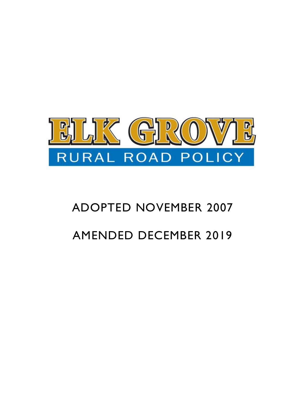

# ADOPTED NOVEMBER 2007 AMENDED DECEMBER 2019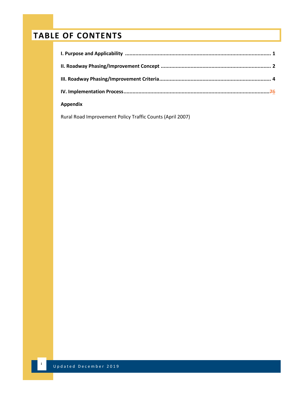# **TABLE OF CONTENTS**

| <b>Appendix</b> |  |
|-----------------|--|

Rural Road Improvement Policy Traffic Counts (April 2007)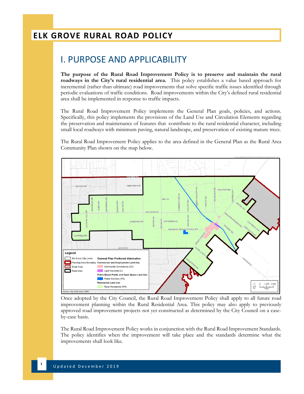## I. PURPOSE AND APPLICABILITY

**The purpose of the Rural Road Improvement Policy is to preserve and maintain the rural roadways in the City's rural residential area.** This policy establishes a value based approach for incremental (rather than ultimate) road improvements that solve specific traffic issues identified through periodic evaluations of traffic conditions. Road improvements within the City's defined rural residential area shall be implemented in response to traffic impacts.

The Rural Road Improvement Policy implements the General Plan goals, policies, and actions. Specifically, this policy implements the provisions of the Land Use and Circulation Elements regarding the preservation and maintenance of features that -contribute to the rural residential character, including small local roadways with minimum paving, natural landscape, and preservation of existing mature trees.

The Rural Road Improvement Policy applies to the area defined in the General Plan as the Rural Area Community Plan shown on the map below.



Once adopted by the City Council, the Rural Road Improvement Policy shall apply to all future road improvement planning within the Rural Residential Area. This policy may also apply to previously approved road improvement projects not yet constructed as determined by the City Council on a caseby-case basis.

The Rural Road Improvement Policy works in conjunction with the Rural Road Improvement Standards. The policy identifies when the improvement will take place and the standards determine what the improvements shall look like.

**1**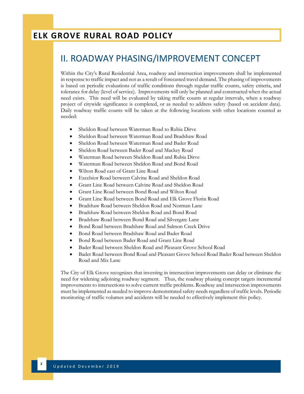#### II. ROADWAY PHASING/IMPROVEMENT CONCEPT

Within the City's Rural Residential Area, roadway and intersection improvements shall be implemented in response to traffic impact and not as a result of forecasted travel demand. The phasing of improvements is based on periodic evaluations of traffic conditions through regular traffic counts, safety criteria, and tolerance for delay (level of service). Improvements will only be planned and constructed when the actual need exists. This need will be evaluated by taking traffic counts at regular intervals, when a roadway project of citywide significance is completed, or as needed to address safety (based on accident data). Daily roadway traffic counts will be taken at the following locations with other locations counted as needed:

- Sheldon Road between Waterman Road to Rubia Dirve
- Sheldon Road between Waterman Road and Bradshaw Road
- Sheldon Road between Waterman Road and Bader Road
- Sheldon Road between Bader Road and Mackey Road
- Waterman Road between Sheldon Road and Rubia Dirve
- Waterman Road between Sheldon Road and Bond Road
- Wilton Road east of Grant Line Road
- Excelsior Road between Calvine Road and Sheldon Road
- Grant Line Road between Calvine Road and Sheldon Road
- Grant Line Road between Bond Road and Wilton Road
- Grant Line Road between Bond Road and Elk Grove Florin Road
- Bradshaw Road between Sheldon Road and Norman Lane
- Bradshaw Road between Sheldon Road and Bond Road
- Bradshaw Road between Bond Road and Silvergate Lane
- Bond Road between Bradshaw Road and Salmon Creek Drive
- Bond Road between Bradshaw Road and Bader Road
- Bond Road between Bader Road and Grant Line Road
- Bader Road between Sheldon Road and Pleasant Grove School Road
- Bader Road between Bond Road and Pleasant Grove School Road Bader Road between Sheldon Road and Mix Lane

The City of Elk Grove recognizes that investing in intersection improvements can delay or eliminate the need for widening adjoining roadway segment. Thus, the roadway phasing concept targets incremental improvements to intersections to solve current traffic problems. Roadway and intersection improvements must be implemented as needed to improve demonstrated safety needs regardless of traffic levels. Periodic monitoring of traffic volumes and accidents will be needed to effectively implement this policy.

**2**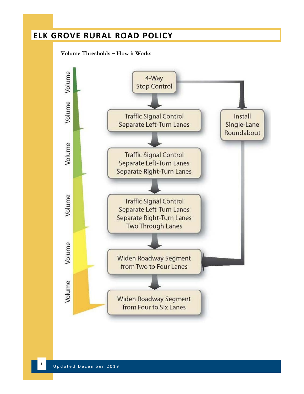#### **Volume Thresholds – How it Works**

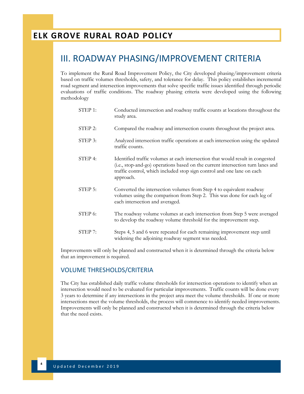### III. ROADWAY PHASING/IMPROVEMENT CRITERIA

To implement the Rural Road Improvement Policy, the City developed phasing/improvement criteria based on traffic volumes thresholds, safety, and tolerance for delay. This policy establishes incremental road segment and intersection improvements that solve specific traffic issues identified through periodic evaluations of traffic conditions. The roadway phasing criteria were developed using the following methodology

| STEP 1: | Conducted intersection and roadway traffic counts at locations throughout the<br>study area.                                                                                                                                                             |
|---------|----------------------------------------------------------------------------------------------------------------------------------------------------------------------------------------------------------------------------------------------------------|
| STEP 2: | Compared the roadway and intersection counts throughout the project area.                                                                                                                                                                                |
| STEP 3: | Analyzed intersection traffic operations at each intersection using the updated<br>traffic counts.                                                                                                                                                       |
| STEP 4: | Identified traffic volumes at each intersection that would result in congested<br>(i.e., stop-and-go) operations based on the current intersection turn lanes and<br>traffic control, which included stop sign control and one lane on each<br>approach. |
| STEP 5: | Converted the intersection volumes from Step 4 to equivalent roadway<br>volumes using the comparison from Step 2. This was done for each leg of<br>each intersection and averaged.                                                                       |
| STEP 6: | The roadway volume volumes at each intersection from Step 5 were averaged<br>to develop the roadway volume threshold for the improvement step.                                                                                                           |
| STEP 7: | Steps 4, 5 and 6 were repeated for each remaining improvement step until<br>widening the adjoining roadway segment was needed.                                                                                                                           |

Improvements will only be planned and constructed when it is determined through the criteria below that an improvement is required.

#### VOLUME THRESHOLDS/CRITERIA

The City has established daily traffic volume thresholds for intersection operations to identify when an intersection would need to be evaluated for particular improvements. Traffic counts will be done every 3 years to determine if any intersections in the project area meet the volume thresholds. If one or more intersections meet the volume thresholds, the process will commence to identify needed improvements. Improvements will only be planned and constructed when it is determined through the criteria below that the need exists.

**4**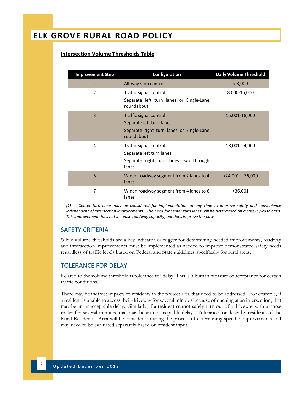#### **Intersection Volume Thresholds Table**

| <b>Improvement Step</b> | Configuration                                                                                                | <b>Daily Volume Threshold</b> |
|-------------------------|--------------------------------------------------------------------------------------------------------------|-------------------------------|
| $\mathbf{1}$            | All-way stop control                                                                                         | $\leq$ 8,000                  |
| $\mathfrak{p}$          | Traffic signal control<br>Separate left turn lanes or Single-Lane<br>roundabout                              | 8,000-15,000                  |
| 3                       | Traffic signal control<br>Separate left turn lanes<br>Separate right turn lanes or Single-Lane<br>roundabout | 15,001-18,000                 |
| 4                       | Traffic signal control<br>Separate left turn lanes<br>Separate right turn lanes Two through<br>lanes         | 18,001-24,000                 |
| 5                       | Widen roadway segment from 2 lanes to 4<br>lanes                                                             | $>24,001 - 36,000$            |
| 7                       | Widen roadway segment from 4 lanes to 6<br>lanes                                                             | >36,001                       |

*(1) Center turn lanes may be considered for implementation at any time to improve safety and convenience independent of intersection improvements. The need for center turn lanes will be determined on a case-by-case basis. This improvement does not increase roadway capacity, but does improve the flow.* 

#### SAFETY CRITERIA

While volume thresholds are a key indicator or trigger for determining needed improvements, roadway and intersection improvements must be implemented as needed to improve demonstrated safety needs regardless of traffic levels based on Federal and State guidelines specifically for rural areas.

#### TOLERANCE FOR DELAY

Related to the volume threshold is tolerance for delay. This is a human measure of acceptance for certain traffic conditions.

There may be indirect impacts to residents in the project area that need to be addressed. For example, if a resident is unable to access their driveway for several minutes because of queuing at an intersection, that may be an unacceptable delay. Similarly, if a resident cannot safely turn out of a driveway with a horse trailer for several minutes, that may be an unacceptable delay. Tolerance for delay by residents of the Rural Residential Area will be considered during the process of determining specific improvements and may need to be evaluated separately based on resident input.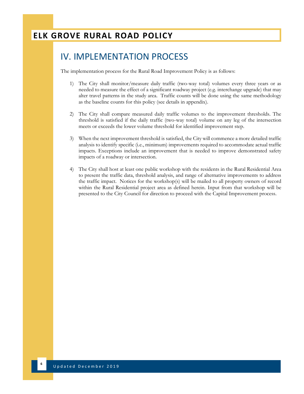## IV. IMPLEMENTATION PROCESS

The implementation process for the Rural Road Improvement Policy is as follows:

- 1) The City shall monitor/measure daily traffic (two-way total) volumes every three years or as needed to measure the effect of a significant roadway project (e.g. interchange upgrade) that may alter travel patterns in the study area. Traffic counts will be done using the same methodology as the baseline counts for this policy (see details in appendix).
- 2) The City shall compare measured daily traffic volumes to the improvement thresholds. The threshold is satisfied if the daily traffic (two-way total) volume on any leg of the intersection meets or exceeds the lower volume threshold for identified improvement step.
- 3) When the next improvement threshold is satisfied, the City will commence a more detailed traffic analysis to identify specific (i.e., minimum) improvements required to accommodate actual traffic impacts. Exceptions include an improvement that is needed to improve demonstrated safety impacts of a roadway or intersection.
- 4) The City shall host at least one public workshop with the residents in the Rural Residential Area to present the traffic data, threshold analysis, and range of alternative improvements to address the traffic impact. Notices for the workshop(s) will be mailed to all property owners of record within the Rural Residential project area as defined herein. Input from that workshop will be presented to the City Council for direction to proceed with the Capital Improvement process.